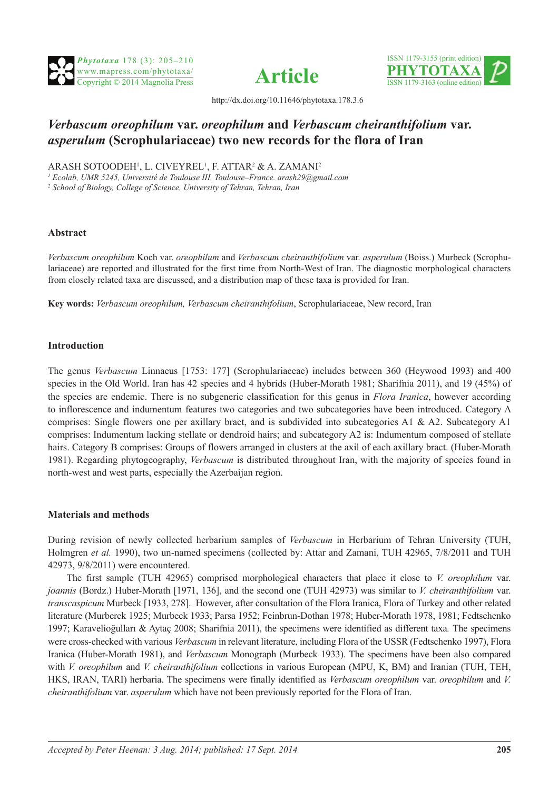





http://dx.doi.org/10.11646/phytotaxa.178.3.6

# *Verbascum oreophilum* **var.** *oreophilum* **and** *Verbascum cheiranthifolium* **var.**  *asperulum* **(Scrophulariaceae) two new records for the flora of Iran**

ARASH SOTOODEH<sup>1</sup>, L. CIVEYREL<sup>1</sup>, F. ATTAR<sup>2</sup> & A. ZAMANI<sup>2</sup>

*1 Ecolab, UMR 5245, Université de Toulouse III, Toulouse–France. arash29@gmail.com*

*2 School of Biology, College of Science, University of Tehran, Tehran, Iran*

## **Abstract**

*Verbascum oreophilum* Koch var. *oreophilum* and *Verbascum cheiranthifolium* var. *asperulum* (Boiss.) Murbeck (Scrophulariaceae) are reported and illustrated for the first time from North-West of Iran. The diagnostic morphological characters from closely related taxa are discussed, and a distribution map of these taxa is provided for Iran.

**Key words:** *Verbascum oreophilum, Verbascum cheiranthifolium*, Scrophulariaceae, New record, Iran

# **Introduction**

The genus *Verbascum* Linnaeus [1753: 177] (Scrophulariaceae) includes between 360 (Heywood 1993) and 400 species in the Old World. Iran has 42 species and 4 hybrids (Huber-Morath 1981; Sharifnia 2011), and 19 (45%) of the species are endemic. There is no subgeneric classification for this genus in *Flora Iranica*, however according to inflorescence and indumentum features two categories and two subcategories have been introduced. Category A comprises: Single flowers one per axillary bract, and is subdivided into subcategories A1 & A2. Subcategory A1 comprises: Indumentum lacking stellate or dendroid hairs; and subcategory A2 is: Indumentum composed of stellate hairs. Category B comprises: Groups of flowers arranged in clusters at the axil of each axillary bract. (Huber-Morath 1981). Regarding phytogeography, *Verbascum* is distributed throughout Iran, with the majority of species found in north-west and west parts, especially the Azerbaijan region.

## **Materials and methods**

During revision of newly collected herbarium samples of *Verbascum* in Herbarium of Tehran University (TUH, Holmgren *et al.* 1990), two un-named specimens (collected by: Attar and Zamani, TUH 42965, 7/8/2011 and TUH 42973, 9/8/2011) were encountered.

The first sample (TUH 42965) comprised morphological characters that place it close to *V. oreophilum* var. *joannis* (Bordz.) Huber-Morath [1971, 136], and the second one (TUH 42973) was similar to *V. cheiranthifolium* var. *transcaspicum* Murbeck [1933, 278]. However, after consultation of the Flora Iranica, Flora of Turkey and other related literature (Murberck 1925; Murbeck 1933; Parsa 1952; Feinbrun-Dothan 1978; Huber-Morath 1978, 1981; Fedtschenko 1997; Karavelioğulları & Aytaç 2008; Sharifnia 2011), the specimens were identified as different taxa*.* The specimens were cross-checked with various *Verbascum* in relevant literature, including Flora of the USSR (Fedtschenko 1997), Flora Iranica (Huber-Morath 1981), and *Verbascum* Monograph (Murbeck 1933). The specimens have been also compared with *V. oreophilum* and *V. cheiranthifolium* collections in various European (MPU, K, BM) and Iranian (TUH, TEH, HKS, IRAN, TARI) herbaria. The specimens were finally identified as *Verbascum oreophilum* var. *oreophilum* and *V. cheiranthifolium* var. *asperulum* which have not been previously reported for the Flora of Iran.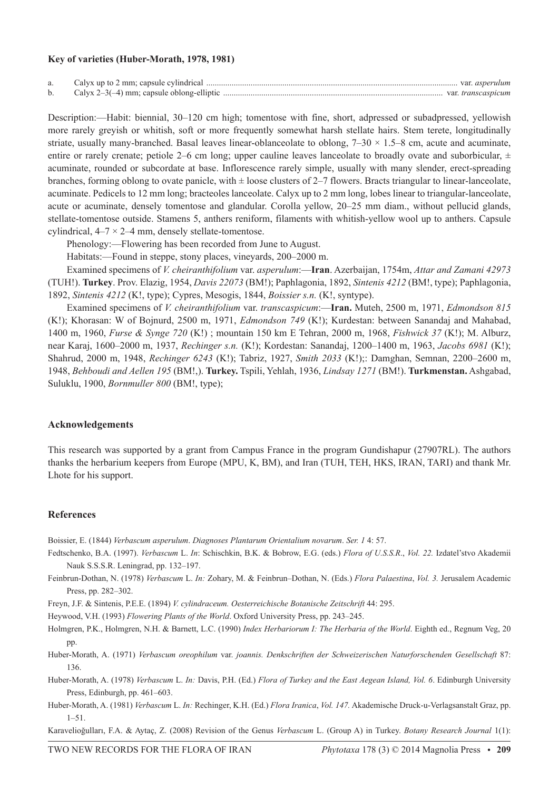#### **Key of varieties (Huber-Morath, 1978, 1981)**

| a. | Calyx up to 2 mm; capsule cylindrical        |     | var <i>asperulum</i> |
|----|----------------------------------------------|-----|----------------------|
| b. | Calyx $2-3(-4)$ mm; capsule oblong-elliptic. | var |                      |

Description:—Habit: biennial, 30–120 cm high; tomentose with fine, short, adpressed or subadpressed, yellowish more rarely greyish or whitish, soft or more frequently somewhat harsh stellate hairs. Stem terete, longitudinally striate, usually many-branched. Basal leaves linear-oblanceolate to oblong,  $7-30 \times 1.5-8$  cm, acute and acuminate, entire or rarely crenate; petiole 2–6 cm long; upper cauline leaves lanceolate to broadly ovate and suborbicular,  $\pm$ acuminate, rounded or subcordate at base. Inflorescence rarely simple, usually with many slender, erect-spreading branches, forming oblong to ovate panicle, with  $\pm$  loose clusters of 2–7 flowers. Bracts triangular to linear-lanceolate, acuminate. Pedicels to 12 mm long; bracteoles lanceolate. Calyx up to 2 mm long, lobes linear to triangular-lanceolate, acute or acuminate, densely tomentose and glandular. Corolla yellow, 20–25 mm diam., without pellucid glands, stellate-tomentose outside. Stamens 5, anthers reniform, filaments with whitish-yellow wool up to anthers. Capsule cylindrical,  $4-7 \times 2-4$  mm, densely stellate-tomentose.

Phenology:—Flowering has been recorded from June to August.

Habitats:—Found in steppe, stony places, vineyards, 200–2000 m.

Examined specimens of *V. cheiranthifolium* var. *asperulum*:—**Iran**. Azerbaijan, 1754m, *Attar and Zamani 42973* (TUH!). **Turkey**. Prov. Elazig, 1954, *Davis 22073* (BM!); Paphlagonia, 1892, *Sintenis 4212* (BM!, type); Paphlagonia, 1892, *Sintenis 4212* (K!, type); Cypres, Mesogis, 1844, *Boissier s.n.* (K!, syntype).

Examined specimens of *V. cheiranthifolium* var. *transcaspicum*:—**Iran.** Muteh, 2500 m, 1971, *Edmondson 815* (K!); Khorasan: W of Bojnurd, 2500 m, 1971, *Edmondson 749* (K!); Kurdestan: between Sanandaj and Mahabad, 1400 m, 1960, *Furse & Synge 720* (K!) ; mountain 150 km E Tehran, 2000 m, 1968, *Fishwick 37* (K!); M. Alburz, near Karaj, 1600–2000 m, 1937, *Rechinger s.n.* (K!); Kordestan: Sanandaj, 1200–1400 m, 1963, *Jacobs 6981* (K!); Shahrud, 2000 m, 1948, *Rechinger 6243* (K!); Tabriz, 1927, *Smith 2033* (K!);: Damghan, Semnan, 2200–2600 m, 1948, *Behboudi and Aellen 195* (BM!,). **Turkey.** Tspili, Yehlah, 1936, *Lindsay 1271* (BM!). **Turkmenstan.** Ashgabad, Suluklu, 1900, *Bornmuller 800* (BM!, type);

#### **Acknowledgements**

This research was supported by a grant from Campus France in the program Gundishapur (27907RL). The authors thanks the herbarium keepers from Europe (MPU, K, BM), and Iran (TUH, TEH, HKS, IRAN, TARI) and thank Mr. Lhote for his support.

#### **References**

Boissier, E. (1844) *Verbascum asperulum*. *Diagnoses Plantarum Orientalium novarum*. *Ser. 1* 4: 57.

- Fedtschenko, B.A. (1997). *Verbascum* L. *In*: Schischkin, B.K. & Bobrow, E.G. (eds.) *Flora of U.S.S.R*., *Vol. 22.* Izdatel'stvo Akademii Nauk S.S.S.R. Leningrad, pp. 132–197.
- Feinbrun-Dothan, N. (1978) *Verbascum* L. *In:* Zohary, M. & Feinbrun–Dothan, N. (Eds.) *Flora Palaestina*, *Vol. 3.* Jerusalem Academic Press, pp. 282–302.
- Freyn, J.F. & Sintenis, P.E.E. (1894) *V. cylindraceum. Oesterreichische Botanische Zeitschrift* 44: 295.
- Heywood, V.H. (1993) *Flowering Plants of the World*. Oxford University Press, pp. 243–245.
- Holmgren, P.K., Holmgren, N.H. & Barnett, L.C. (1990) *Index Herbariorum I: The Herbaria of the World*. Eighth ed., Regnum Veg, 20 pp.
- Huber-Morath, A. (1971) *Verbascum oreophilum* var. *joannis. Denkschriften der Schweizerischen Naturforschenden Gesellschaft* 87: 136.
- Huber-Morath, A. (1978) *Verbascum* L. *In:* Davis, P.H. (Ed.) *Flora of Turkey and the East Aegean Island, Vol. 6*. Edinburgh University Press, Edinburgh, pp. 461–603.
- Huber-Morath, A. (1981) *Verbascum* L. *In:* Rechinger, K.H. (Ed.) *Flora Iranica*, *Vol. 147.* Akademische Druck-u-Verlagsanstalt Graz, pp.  $1 - 51$

Karavelioğulları, F.A. & Aytaç, Z. (2008) Revision of the Genus *Verbascum* L. (Group A) in Turkey. *Botany Research Journal* 1(1):